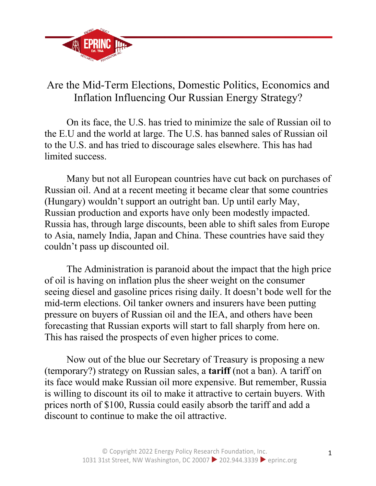

## Are the Mid-Term Elections, Domestic Politics, Economics and Inflation Influencing Our Russian Energy Strategy?

On its face, the U.S. has tried to minimize the sale of Russian oil to the E.U and the world at large. The U.S. has banned sales of Russian oil to the U.S. and has tried to discourage sales elsewhere. This has had limited success.

Many but not all European countries have cut back on purchases of Russian oil. And at a recent meeting it became clear that some countries (Hungary) wouldn't support an outright ban. Up until early May, Russian production and exports have only been modestly impacted. Russia has, through large discounts, been able to shift sales from Europe to Asia, namely India, Japan and China. These countries have said they couldn't pass up discounted oil.

The Administration is paranoid about the impact that the high price of oil is having on inflation plus the sheer weight on the consumer seeing diesel and gasoline prices rising daily. It doesn't bode well for the mid-term elections. Oil tanker owners and insurers have been putting pressure on buyers of Russian oil and the IEA, and others have been forecasting that Russian exports will start to fall sharply from here on. This has raised the prospects of even higher prices to come.

Now out of the blue our Secretary of Treasury is proposing a new (temporary?) strategy on Russian sales, a **tariff** (not a ban). A tariff on its face would make Russian oil more expensive. But remember, Russia is willing to discount its oil to make it attractive to certain buyers. With prices north of \$100, Russia could easily absorb the tariff and add a discount to continue to make the oil attractive.